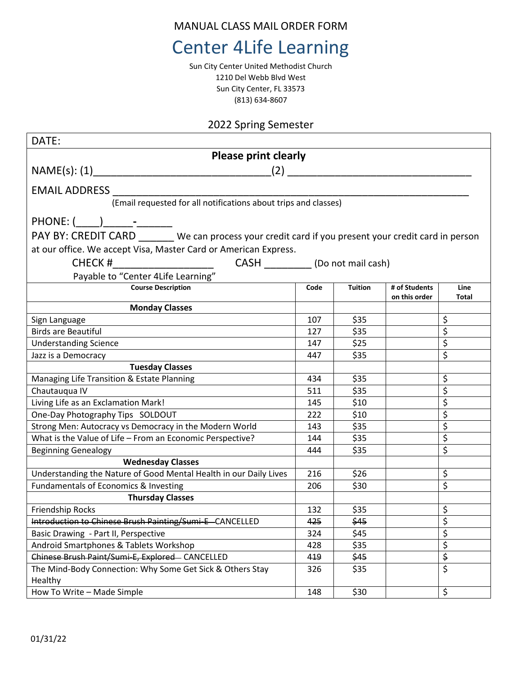MANUAL CLASS MAIL ORDER FORM

## Center 4Life Learning

Sun City Center United Methodist Church 1210 Del Webb Blvd West Sun City Center, FL 33573 (813) 634-8607

## 2022 Spring Semester

| DATE:                                                                                                 |                                   |                     |               |                                 |  |  |
|-------------------------------------------------------------------------------------------------------|-----------------------------------|---------------------|---------------|---------------------------------|--|--|
| <b>Please print clearly</b>                                                                           |                                   |                     |               |                                 |  |  |
| NAME(s): (1)<br>$(2)$ <sub>___</sub><br><u> 1980 - Jan James James Barnett, martin a</u>              |                                   |                     |               |                                 |  |  |
| <b>EMAIL ADDRESS</b>                                                                                  |                                   |                     |               |                                 |  |  |
| (Email requested for all notifications about trips and classes)                                       |                                   |                     |               |                                 |  |  |
|                                                                                                       |                                   |                     |               |                                 |  |  |
| PAY BY: CREDIT CARD _______ We can process your credit card if you present your credit card in person |                                   |                     |               |                                 |  |  |
| at our office. We accept Visa, Master Card or American Express.                                       |                                   |                     |               |                                 |  |  |
| CHECK#                                                                                                | CASH __________(Do not mail cash) |                     |               |                                 |  |  |
| Payable to "Center 4Life Learning"                                                                    |                                   |                     |               |                                 |  |  |
| <b>Course Description</b>                                                                             | Code                              | <b>Tuition</b>      | # of Students | Line                            |  |  |
|                                                                                                       |                                   |                     | on this order | Total                           |  |  |
| <b>Monday Classes</b>                                                                                 |                                   |                     |               |                                 |  |  |
| Sign Language                                                                                         | 107                               | \$35                |               | \$                              |  |  |
| <b>Birds are Beautiful</b>                                                                            | 127                               | \$35                |               | \$                              |  |  |
| <b>Understanding Science</b>                                                                          | 147                               | \$25                |               | $\overline{\boldsymbol{\zeta}}$ |  |  |
| Jazz is a Democracy                                                                                   | 447                               | \$35                |               | \$                              |  |  |
| <b>Tuesday Classes</b>                                                                                |                                   |                     |               |                                 |  |  |
| Managing Life Transition & Estate Planning                                                            | 434                               | \$35                |               | \$                              |  |  |
| Chautauqua IV                                                                                         | 511                               | \$35                |               | \$                              |  |  |
| Living Life as an Exclamation Mark!                                                                   | 145                               | \$10                |               | \$                              |  |  |
| One-Day Photography Tips SOLDOUT                                                                      | 222                               | \$10                |               | $\overline{\boldsymbol{\zeta}}$ |  |  |
| Strong Men: Autocracy vs Democracy in the Modern World                                                | 143                               | \$35                |               | \$                              |  |  |
| What is the Value of Life - From an Economic Perspective?                                             | 144                               | \$35                |               | \$                              |  |  |
| <b>Beginning Genealogy</b>                                                                            | 444                               | \$35                |               | \$                              |  |  |
| <b>Wednesday Classes</b>                                                                              |                                   |                     |               |                                 |  |  |
| Understanding the Nature of Good Mental Health in our Daily Lives                                     | 216                               | \$26                |               | \$                              |  |  |
| Fundamentals of Economics & Investing                                                                 | 206                               | \$30                |               | \$                              |  |  |
| <b>Thursday Classes</b><br>Friendship Rocks                                                           | 132                               | \$35                |               | \$                              |  |  |
| Introduction to Chinese Brush Painting/Sumi-E CANCELLED                                               |                                   |                     |               |                                 |  |  |
| Basic Drawing - Part II, Perspective                                                                  | 425<br>324                        | <b>\$45</b><br>\$45 |               | Ş<br>\$                         |  |  |
| Android Smartphones & Tablets Workshop                                                                | 428                               | \$35                |               | \$                              |  |  |
| Chinese Brush Paint/Sumi-E, Explored-CANCELLED                                                        | 419                               | \$45                |               | \$                              |  |  |
| The Mind-Body Connection: Why Some Get Sick & Others Stay                                             | 326                               | \$35                |               | \$                              |  |  |
| Healthy                                                                                               |                                   |                     |               |                                 |  |  |
| How To Write - Made Simple                                                                            | 148                               | \$30                |               | \$                              |  |  |